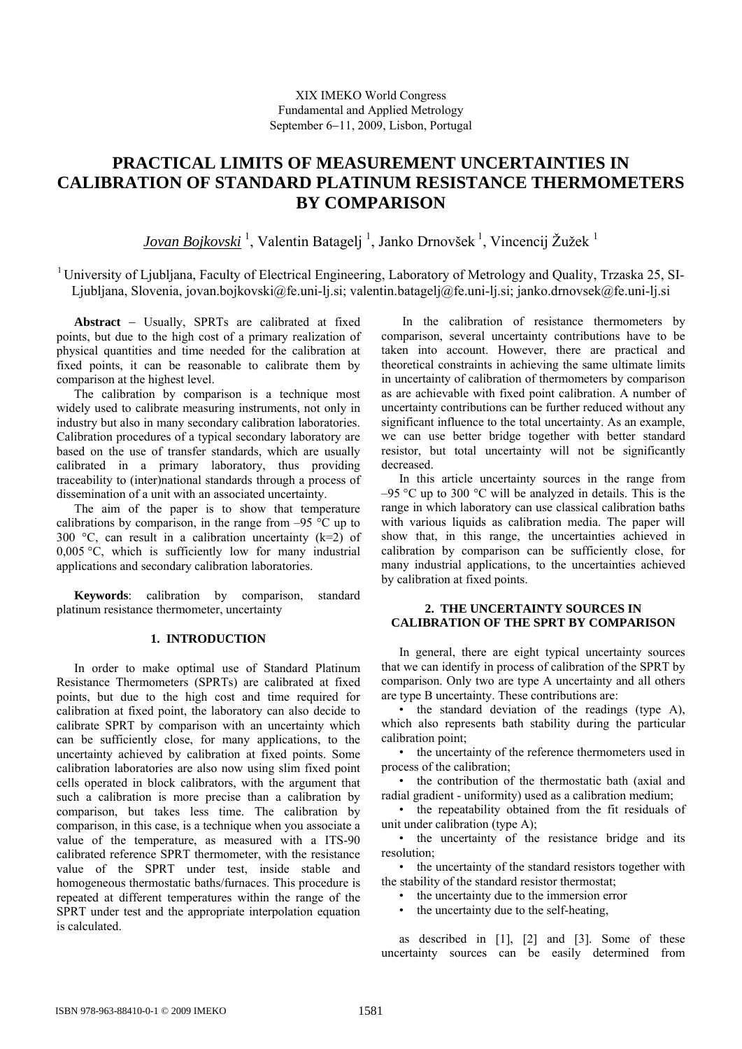# **PRACTICAL LIMITS OF MEASUREMENT UNCERTAINTIES IN CALIBRATION OF STANDARD PLATINUM RESISTANCE THERMOMETERS BY COMPARISON**

*Jovan Bojkovski*<sup>1</sup>, Valentin Batagelj<sup>1</sup>, Janko Drnovšek<sup>1</sup>, Vincencij Žužek<sup>1</sup>

1 University of Ljubljana, Faculty of Electrical Engineering, Laboratory of Metrology and Quality, Trzaska 25, SI-Ljubljana, Slovenia, jovan.bojkovski@fe.uni-lj.si; valentin.batagelj@fe.uni-lj.si; janko.drnovsek@fe.uni-lj.si

**Abstract** − Usually, SPRTs are calibrated at fixed points, but due to the high cost of a primary realization of physical quantities and time needed for the calibration at fixed points, it can be reasonable to calibrate them by comparison at the highest level.

The calibration by comparison is a technique most widely used to calibrate measuring instruments, not only in industry but also in many secondary calibration laboratories. Calibration procedures of a typical secondary laboratory are based on the use of transfer standards, which are usually calibrated in a primary laboratory, thus providing traceability to (inter)national standards through a process of dissemination of a unit with an associated uncertainty.

The aim of the paper is to show that temperature calibrations by comparison, in the range from  $-95\degree C$  up to 300 °C, can result in a calibration uncertainty  $(k=2)$  of 0,005 °C, which is sufficiently low for many industrial applications and secondary calibration laboratories.

**Keywords**: calibration by comparison, standard platinum resistance thermometer, uncertainty

#### **1. INTRODUCTION**

In order to make optimal use of Standard Platinum Resistance Thermometers (SPRTs) are calibrated at fixed points, but due to the high cost and time required for calibration at fixed point, the laboratory can also decide to calibrate SPRT by comparison with an uncertainty which can be sufficiently close, for many applications, to the uncertainty achieved by calibration at fixed points. Some calibration laboratories are also now using slim fixed point cells operated in block calibrators, with the argument that such a calibration is more precise than a calibration by comparison, but takes less time. The calibration by comparison, in this case, is a technique when you associate a value of the temperature, as measured with a ITS-90 calibrated reference SPRT thermometer, with the resistance value of the SPRT under test, inside stable and homogeneous thermostatic baths/furnaces. This procedure is repeated at different temperatures within the range of the SPRT under test and the appropriate interpolation equation is calculated.

 In the calibration of resistance thermometers by comparison, several uncertainty contributions have to be taken into account. However, there are practical and theoretical constraints in achieving the same ultimate limits in uncertainty of calibration of thermometers by comparison as are achievable with fixed point calibration. A number of uncertainty contributions can be further reduced without any significant influence to the total uncertainty. As an example, we can use better bridge together with better standard resistor, but total uncertainty will not be significantly decreased.

In this article uncertainty sources in the range from  $-95$  °C up to 300 °C will be analyzed in details. This is the range in which laboratory can use classical calibration baths with various liquids as calibration media. The paper will show that, in this range, the uncertainties achieved in calibration by comparison can be sufficiently close, for many industrial applications, to the uncertainties achieved by calibration at fixed points.

## **2. THE UNCERTAINTY SOURCES IN CALIBRATION OF THE SPRT BY COMPARISON**

In general, there are eight typical uncertainty sources that we can identify in process of calibration of the SPRT by comparison. Only two are type A uncertainty and all others are type B uncertainty. These contributions are:

• the standard deviation of the readings (type A), which also represents bath stability during the particular calibration point;

• the uncertainty of the reference thermometers used in process of the calibration;

• the contribution of the thermostatic bath (axial and radial gradient - uniformity) used as a calibration medium;

• the repeatability obtained from the fit residuals of unit under calibration (type A);

• the uncertainty of the resistance bridge and its resolution;

• the uncertainty of the standard resistors together with the stability of the standard resistor thermostat;

• the uncertainty due to the immersion error

• the uncertainty due to the self-heating,

as described in [1], [2] and [3]. Some of these uncertainty sources can be easily determined from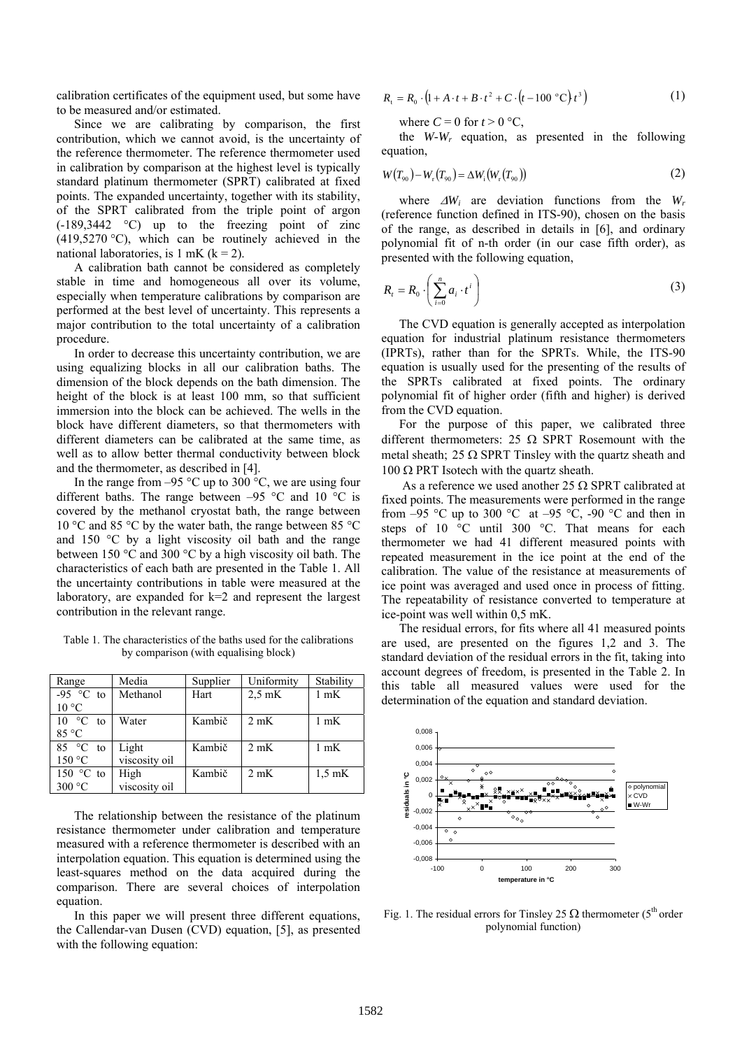calibration certificates of the equipment used, but some have to be measured and/or estimated.

Since we are calibrating by comparison, the first contribution, which we cannot avoid, is the uncertainty of the reference thermometer. The reference thermometer used in calibration by comparison at the highest level is typically standard platinum thermometer (SPRT) calibrated at fixed points. The expanded uncertainty, together with its stability, of the SPRT calibrated from the triple point of argon (-189,3442 °C) up to the freezing point of zinc  $(419,5270 \degree C)$ , which can be routinely achieved in the national laboratories, is 1 mK  $(k = 2)$ .

A calibration bath cannot be considered as completely stable in time and homogeneous all over its volume, especially when temperature calibrations by comparison are performed at the best level of uncertainty. This represents a major contribution to the total uncertainty of a calibration procedure.

In order to decrease this uncertainty contribution, we are using equalizing blocks in all our calibration baths. The dimension of the block depends on the bath dimension. The height of the block is at least 100 mm, so that sufficient immersion into the block can be achieved. The wells in the block have different diameters, so that thermometers with different diameters can be calibrated at the same time, as well as to allow better thermal conductivity between block and the thermometer, as described in [4].

In the range from  $-95$  °C up to 300 °C, we are using four different baths. The range between  $-95$  °C and 10 °C is covered by the methanol cryostat bath, the range between 10 °C and 85 °C by the water bath, the range between 85 °C and 150 °C by a light viscosity oil bath and the range between 150 °C and 300 °C by a high viscosity oil bath. The characteristics of each bath are presented in the Table 1. All the uncertainty contributions in table were measured at the laboratory, are expanded for k=2 and represent the largest contribution in the relevant range.

Table 1. The characteristics of the baths used for the calibrations by comparison (with equalising block)

| Range                 | Media         | Supplier | Uniformity       | Stability        |
|-----------------------|---------------|----------|------------------|------------------|
| -95 $\degree$ C to    | Methanol      | Hart     | $2.5 \text{ mK}$ | $1 \text{ mK}$   |
| $10^{\circ}$ C        |               |          |                  |                  |
| $\circ$ C<br>10<br>to | Water         | Kambič   | $2 \text{ mK}$   | 1 mK             |
| 85 °C                 |               |          |                  |                  |
| $85 °C$ to            | Light         | Kambič   | $2 \text{ mK}$   | $1 \text{ mK}$   |
| 150 °C                | viscosity oil |          |                  |                  |
| 150 $\degree$ C to    | High          | Kambič   | $2 \text{ mK}$   | $1.5 \text{ mK}$ |
| 300 °C                | viscosity oil |          |                  |                  |

The relationship between the resistance of the platinum resistance thermometer under calibration and temperature measured with a reference thermometer is described with an interpolation equation. This equation is determined using the least-squares method on the data acquired during the comparison. There are several choices of interpolation equation.

In this paper we will present three different equations, the Callendar-van Dusen (CVD) equation, [5], as presented with the following equation:

$$
R_{t} = R_{0} \cdot (1 + A \cdot t + B \cdot t^{2} + C \cdot (t - 100 \degree C) t^{3})
$$
 (1)

where  $C = 0$  for  $t > 0$  °C,

the *W-Wr* equation, as presented in the following equation,

$$
W(T_{90}) - W_{r}(T_{90}) = \Delta W_{i}(W_{r}(T_{90}))
$$
\n(2)

 (reference function defined in ITS-90), chosen on the basis where  $\Delta W_i$  are deviation functions from the  $W_r$ of the range, as described in details in [6], and ordinary polynomial fit of n-th order (in our case fifth order), as presented with the following equation,

$$
R_{t} = R_{0} \cdot \left(\sum_{i=0}^{n} a_{i} \cdot t^{i}\right)
$$
 (3)

The CVD equation is generally accepted as interpolation equation for industrial platinum resistance thermometers (IPRTs), rather than for the SPRTs. While, the ITS-90 equation is usually used for the presenting of the results of the SPRTs calibrated at fixed points. The ordinary polynomial fit of higher order (fifth and higher) is derived from the CVD equation.

For the purpose of this paper, we calibrated three different thermometers: 25  $\Omega$  SPRT Rosemount with the metal sheath;  $25 \Omega$  SPRT Tinsley with the quartz sheath and 100 Ω PRT Isotech with the quartz sheath.

As a reference we used another 25  $\Omega$  SPRT calibrated at fixed points. The measurements were performed in the range from  $-95$  °C up to 300 °C at  $-95$  °C,  $-90$  °C and then in steps of 10 °C until 300 °C. That means for each thermometer we had 41 different measured points with repeated measurement in the ice point at the end of the calibration. The value of the resistance at measurements of ice point was averaged and used once in process of fitting. The repeatability of resistance converted to temperature at ice-point was well within 0,5 mK.

The residual errors, for fits where all 41 measured points are used, are presented on the figures 1,2 and 3. The standard deviation of the residual errors in the fit, taking into account degrees of freedom, is presented in the Table 2. In this table all measured values were used for the determination of the equation and standard deviation.



Fig. 1. The residual errors for Tinsley 25  $\Omega$  thermometer (5<sup>th</sup> order polynomial function)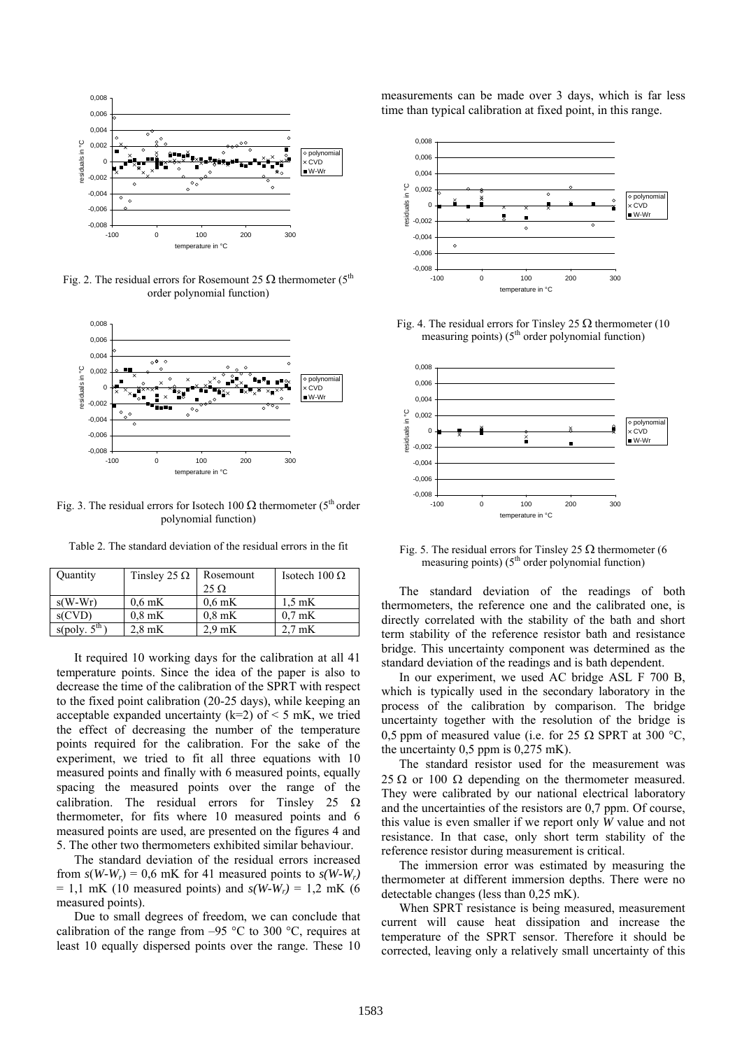

Fig. 2. The residual errors for Rosemount 25  $\Omega$  thermometer (5<sup>th</sup>) order polynomial function)



Fig. 3. The residual errors for Isotech 100  $\Omega$  thermometer (5<sup>th</sup> order polynomial function)

Table 2. The standard deviation of the residual errors in the fit

| Quantity                  | Tinsley 25 $\Omega$ | Rosemount        | Isotech 100 Ω    |
|---------------------------|---------------------|------------------|------------------|
|                           |                     | $25 \Omega$      |                  |
| $s(W-Wr)$                 | $0.6 \text{ mK}$    | $0.6$ mK         | $1.5 \text{ mK}$ |
| s(CVD)                    | $0.8 \text{ mK}$    | $0.8$ mK         | $0.7 \text{ mK}$ |
| s(poly. 5 <sup>th</sup> ) | $2.8 \text{ mK}$    | $2.9 \text{ mK}$ | $2.7 \text{ mK}$ |

It required 10 working days for the calibration at all 41 temperature points. Since the idea of the paper is also to decrease the time of the calibration of the SPRT with respect to the fixed point calibration (20-25 days), while keeping an acceptable expanded uncertainty ( $k=2$ ) of < 5 mK, we tried the effect of decreasing the number of the temperature points required for the calibration. For the sake of the experiment, we tried to fit all three equations with 10 measured points and finally with 6 measured points, equally spacing the measured points over the range of the calibration. The residual errors for Tinsley 25  $\Omega$ thermometer, for fits where 10 measured points and 6 measured points are used, are presented on the figures 4 and 5. The other two thermometers exhibited similar behaviour.

The standard deviation of the residual errors increased from  $s(W-W_r) = 0.6$  mK for 41 measured points to  $s(W-W_r)$  $= 1.1$  mK (10 measured points) and  $s(W-W_r) = 1.2$  mK (6) measured points).

Due to small degrees of freedom, we can conclude that calibration of the range from  $-95$  °C to 300 °C, requires at least 10 equally dispersed points over the range. These 10 measurements can be made over 3 days, which is far less time than typical calibration at fixed point, in this range.



Fig. 4. The residual errors for Tinsley 25  $\Omega$  thermometer (10) measuring points)  $(5<sup>th</sup> order polynomial function)$ 



Fig. 5. The residual errors for Tinsley 25  $\Omega$  thermometer (6) measuring points)  $(5<sup>th</sup> order polynomial function)$ 

The standard deviation of the readings of both thermometers, the reference one and the calibrated one, is directly correlated with the stability of the bath and short term stability of the reference resistor bath and resistance bridge. This uncertainty component was determined as the standard deviation of the readings and is bath dependent.

In our experiment, we used AC bridge ASL F 700 B, which is typically used in the secondary laboratory in the process of the calibration by comparison. The bridge uncertainty together with the resolution of the bridge is 0,5 ppm of measured value (i.e. for 25  $\Omega$  SPRT at 300 °C, the uncertainty 0,5 ppm is 0,275 mK).

The standard resistor used for the measurement was 25  $\Omega$  or 100  $\Omega$  depending on the thermometer measured. They were calibrated by our national electrical laboratory and the uncertainties of the resistors are 0,7 ppm. Of course, this value is even smaller if we report only *W* value and not resistance. In that case, only short term stability of the reference resistor during measurement is critical.

The immersion error was estimated by measuring the thermometer at different immersion depths. There were no detectable changes (less than 0,25 mK).

When SPRT resistance is being measured, measurement current will cause heat dissipation and increase the temperature of the SPRT sensor. Therefore it should be corrected, leaving only a relatively small uncertainty of this